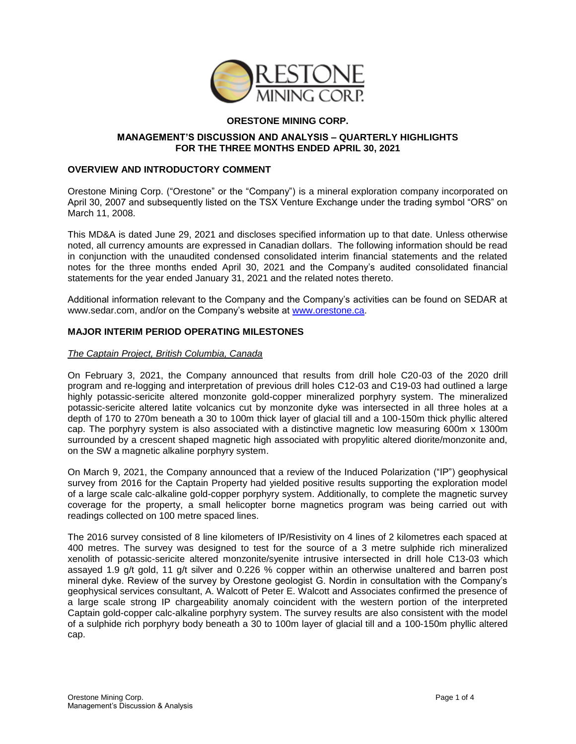

# **ORESTONE MINING CORP.**

## **MANAGEMENT'S DISCUSSION AND ANALYSIS – QUARTERLY HIGHLIGHTS FOR THE THREE MONTHS ENDED APRIL 30, 2021**

## **OVERVIEW AND INTRODUCTORY COMMENT**

Orestone Mining Corp. ("Orestone" or the "Company") is a mineral exploration company incorporated on April 30, 2007 and subsequently listed on the TSX Venture Exchange under the trading symbol "ORS" on March 11, 2008.

This MD&A is dated June 29, 2021 and discloses specified information up to that date. Unless otherwise noted, all currency amounts are expressed in Canadian dollars. The following information should be read in conjunction with the unaudited condensed consolidated interim financial statements and the related notes for the three months ended April 30, 2021 and the Company's audited consolidated financial statements for the year ended January 31, 2021 and the related notes thereto.

Additional information relevant to the Company and the Company's activities can be found on SEDAR at [www.sedar.com,](http://www.sedar.com/) and/or on the Company's website at [www.orestone.ca.](http://www.orestone.ca/)

## **MAJOR INTERIM PERIOD OPERATING MILESTONES**

## *The Captain Project, British Columbia, Canada*

On February 3, 2021, the Company announced that results from drill hole C20-03 of the 2020 drill program and re-logging and interpretation of previous drill holes C12-03 and C19-03 had outlined a large highly potassic-sericite altered monzonite gold-copper mineralized porphyry system. The mineralized potassic-sericite altered latite volcanics cut by monzonite dyke was intersected in all three holes at a depth of 170 to 270m beneath a 30 to 100m thick layer of glacial till and a 100-150m thick phyllic altered cap. The porphyry system is also associated with a distinctive magnetic low measuring 600m x 1300m surrounded by a crescent shaped magnetic high associated with propylitic altered diorite/monzonite and, on the SW a magnetic alkaline porphyry system.

On March 9, 2021, the Company announced that a review of the Induced Polarization ("IP") geophysical survey from 2016 for the Captain Property had yielded positive results supporting the exploration model of a large scale calc-alkaline gold-copper porphyry system. Additionally, to complete the magnetic survey coverage for the property, a small helicopter borne magnetics program was being carried out with readings collected on 100 metre spaced lines.

The 2016 survey consisted of 8 line kilometers of IP/Resistivity on 4 lines of 2 kilometres each spaced at 400 metres. The survey was designed to test for the source of a 3 metre sulphide rich mineralized xenolith of potassic-sericite altered monzonite/syenite intrusive intersected in drill hole C13-03 which assayed 1.9 g/t gold, 11 g/t silver and 0.226 % copper within an otherwise unaltered and barren post mineral dyke. Review of the survey by Orestone geologist G. Nordin in consultation with the Company's geophysical services consultant, A. Walcott of Peter E. Walcott and Associates confirmed the presence of a large scale strong IP chargeability anomaly coincident with the western portion of the interpreted Captain gold-copper calc-alkaline porphyry system. The survey results are also consistent with the model of a sulphide rich porphyry body beneath a 30 to 100m layer of glacial till and a 100-150m phyllic altered cap.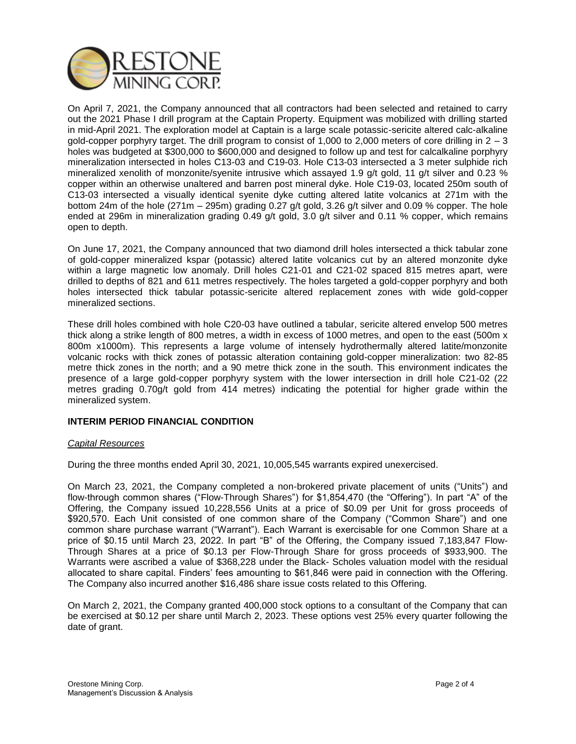

On April 7, 2021, the Company announced that all contractors had been selected and retained to carry out the 2021 Phase I drill program at the Captain Property. Equipment was mobilized with drilling started in mid-April 2021. The exploration model at Captain is a large scale potassic-sericite altered calc-alkaline gold-copper porphyry target. The drill program to consist of 1,000 to 2,000 meters of core drilling in  $2 - 3$ holes was budgeted at \$300,000 to \$600,000 and designed to follow up and test for calcalkaline porphyry mineralization intersected in holes C13-03 and C19-03. Hole C13-03 intersected a 3 meter sulphide rich mineralized xenolith of monzonite/syenite intrusive which assayed 1.9 g/t gold, 11 g/t silver and 0.23 % copper within an otherwise unaltered and barren post mineral dyke. Hole C19-03, located 250m south of C13-03 intersected a visually identical syenite dyke cutting altered latite volcanics at 271m with the bottom 24m of the hole (271m – 295m) grading 0.27 g/t gold, 3.26 g/t silver and 0.09 % copper. The hole ended at 296m in mineralization grading 0.49 g/t gold, 3.0 g/t silver and 0.11 % copper, which remains open to depth.

On June 17, 2021, the Company announced that two diamond drill holes intersected a thick tabular zone of gold-copper mineralized kspar (potassic) altered latite volcanics cut by an altered monzonite dyke within a large magnetic low anomaly. Drill holes C21-01 and C21-02 spaced 815 metres apart, were drilled to depths of 821 and 611 metres respectively. The holes targeted a gold-copper porphyry and both holes intersected thick tabular potassic-sericite altered replacement zones with wide gold-copper mineralized sections.

These drill holes combined with hole C20-03 have outlined a tabular, sericite altered envelop 500 metres thick along a strike length of 800 metres, a width in excess of 1000 metres, and open to the east (500m x 800m x1000m). This represents a large volume of intensely hydrothermally altered latite/monzonite volcanic rocks with thick zones of potassic alteration containing gold-copper mineralization: two 82-85 metre thick zones in the north; and a 90 metre thick zone in the south. This environment indicates the presence of a large gold-copper porphyry system with the lower intersection in drill hole C21-02 (22 metres grading 0.70g/t gold from 414 metres) indicating the potential for higher grade within the mineralized system.

# **INTERIM PERIOD FINANCIAL CONDITION**

## *Capital Resources*

During the three months ended April 30, 2021, 10,005,545 warrants expired unexercised.

On March 23, 2021, the Company completed a non-brokered private placement of units ("Units") and flow-through common shares ("Flow-Through Shares") for \$1,854,470 (the "Offering"). In part "A" of the Offering, the Company issued 10,228,556 Units at a price of \$0.09 per Unit for gross proceeds of \$920,570. Each Unit consisted of one common share of the Company ("Common Share") and one common share purchase warrant ("Warrant"). Each Warrant is exercisable for one Common Share at a price of \$0.15 until March 23, 2022. In part "B" of the Offering, the Company issued 7,183,847 Flow-Through Shares at a price of \$0.13 per Flow-Through Share for gross proceeds of \$933,900. The Warrants were ascribed a value of \$368,228 under the Black- Scholes valuation model with the residual allocated to share capital. Finders' fees amounting to \$61,846 were paid in connection with the Offering. The Company also incurred another \$16,486 share issue costs related to this Offering.

On March 2, 2021, the Company granted 400,000 stock options to a consultant of the Company that can be exercised at \$0.12 per share until March 2, 2023. These options vest 25% every quarter following the date of grant.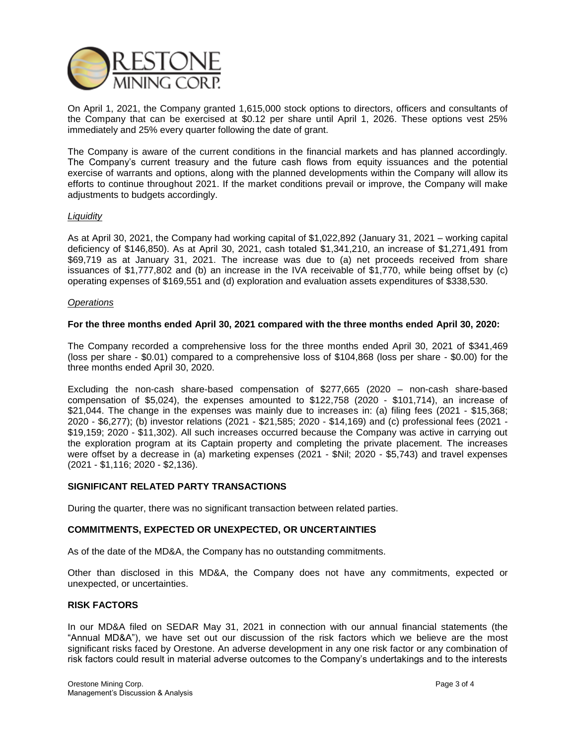

On April 1, 2021, the Company granted 1,615,000 stock options to directors, officers and consultants of the Company that can be exercised at \$0.12 per share until April 1, 2026. These options vest 25% immediately and 25% every quarter following the date of grant.

The Company is aware of the current conditions in the financial markets and has planned accordingly. The Company's current treasury and the future cash flows from equity issuances and the potential exercise of warrants and options, along with the planned developments within the Company will allow its efforts to continue throughout 2021. If the market conditions prevail or improve, the Company will make adjustments to budgets accordingly.

## *Liquidity*

As at April 30, 2021, the Company had working capital of \$1,022,892 (January 31, 2021 – working capital deficiency of \$146,850). As at April 30, 2021, cash totaled \$1,341,210, an increase of \$1,271,491 from \$69,719 as at January 31, 2021. The increase was due to (a) net proceeds received from share issuances of \$1,777,802 and (b) an increase in the IVA receivable of \$1,770, while being offset by (c) operating expenses of \$169,551 and (d) exploration and evaluation assets expenditures of \$338,530.

### *Operations*

### **For the three months ended April 30, 2021 compared with the three months ended April 30, 2020:**

The Company recorded a comprehensive loss for the three months ended April 30, 2021 of \$341,469 (loss per share - \$0.01) compared to a comprehensive loss of \$104,868 (loss per share - \$0.00) for the three months ended April 30, 2020.

Excluding the non-cash share-based compensation of \$277,665 (2020 – non-cash share-based compensation of \$5,024), the expenses amounted to \$122,758 (2020 - \$101,714), an increase of \$21,044. The change in the expenses was mainly due to increases in: (a) filing fees (2021 - \$15,368; 2020 - \$6,277); (b) investor relations (2021 - \$21,585; 2020 - \$14,169) and (c) professional fees (2021 - \$19,159; 2020 - \$11,302). All such increases occurred because the Company was active in carrying out the exploration program at its Captain property and completing the private placement. The increases were offset by a decrease in (a) marketing expenses (2021 - \$Nil; 2020 - \$5,743) and travel expenses (2021 - \$1,116; 2020 - \$2,136).

#### **SIGNIFICANT RELATED PARTY TRANSACTIONS**

During the quarter, there was no significant transaction between related parties.

#### **COMMITMENTS, EXPECTED OR UNEXPECTED, OR UNCERTAINTIES**

As of the date of the MD&A, the Company has no outstanding commitments.

Other than disclosed in this MD&A, the Company does not have any commitments, expected or unexpected, or uncertainties.

#### **RISK FACTORS**

In our MD&A filed on SEDAR May 31, 2021 in connection with our annual financial statements (the "Annual MD&A"), we have set out our discussion of the risk factors which we believe are the most significant risks faced by Orestone. An adverse development in any one risk factor or any combination of risk factors could result in material adverse outcomes to the Company's undertakings and to the interests